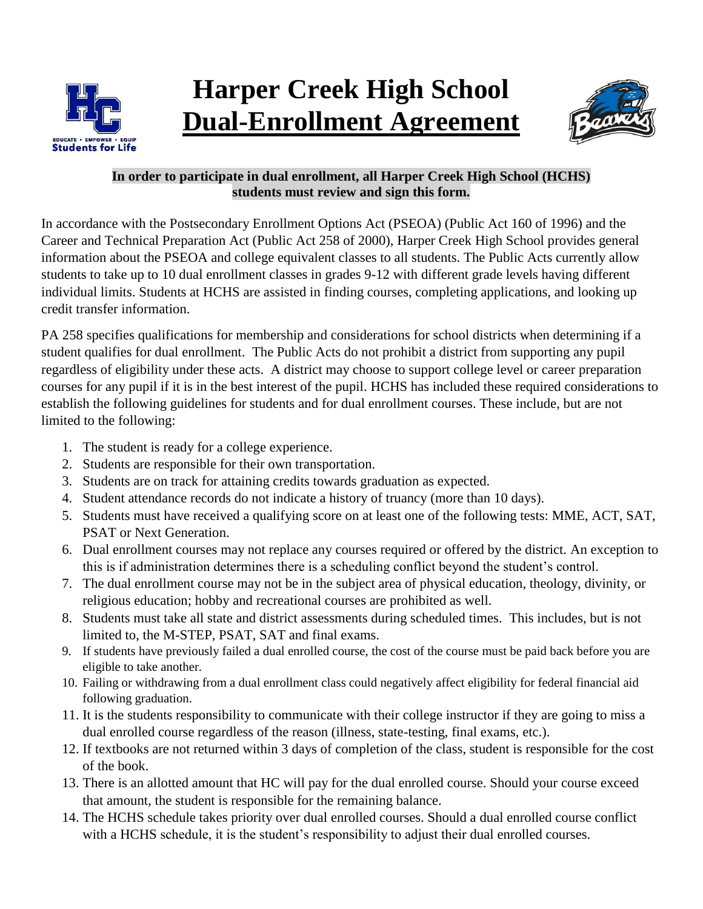

## **Harper Creek High School Dual-Enrollment Agreement**



## **In order to participate in dual enrollment, all Harper Creek High School (HCHS) students must review and sign this form.**

In accordance with the Postsecondary Enrollment Options Act (PSEOA) (Public Act 160 of 1996) and the Career and Technical Preparation Act (Public Act 258 of 2000), Harper Creek High School provides general information about the PSEOA and college equivalent classes to all students. The Public Acts currently allow students to take up to 10 dual enrollment classes in grades 9-12 with different grade levels having different individual limits. Students at HCHS are assisted in finding courses, completing applications, and looking up credit transfer information.

PA 258 specifies qualifications for membership and considerations for school districts when determining if a student qualifies for dual enrollment. The Public Acts do not prohibit a district from supporting any pupil regardless of eligibility under these acts. A district may choose to support college level or career preparation courses for any pupil if it is in the best interest of the pupil. HCHS has included these required considerations to establish the following guidelines for students and for dual enrollment courses. These include, but are not limited to the following:

- 1. The student is ready for a college experience.
- 2. Students are responsible for their own transportation.
- 3. Students are on track for attaining credits towards graduation as expected.
- 4. Student attendance records do not indicate a history of truancy (more than 10 days).
- 5. Students must have received a qualifying score on at least one of the following tests: MME, ACT, SAT, PSAT or Next Generation.
- 6. Dual enrollment courses may not replace any courses required or offered by the district. An exception to this is if administration determines there is a scheduling conflict beyond the student's control.
- 7. The dual enrollment course may not be in the subject area of physical education, theology, divinity, or religious education; hobby and recreational courses are prohibited as well.
- 8. Students must take all state and district assessments during scheduled times. This includes, but is not limited to, the M-STEP, PSAT, SAT and final exams.
- 9. If students have previously failed a dual enrolled course, the cost of the course must be paid back before you are eligible to take another.
- 10. Failing or withdrawing from a dual enrollment class could negatively affect eligibility for federal financial aid following graduation.
- 11. It is the students responsibility to communicate with their college instructor if they are going to miss a dual enrolled course regardless of the reason (illness, state-testing, final exams, etc.).
- 12. If textbooks are not returned within 3 days of completion of the class, student is responsible for the cost of the book.
- 13. There is an allotted amount that HC will pay for the dual enrolled course. Should your course exceed that amount, the student is responsible for the remaining balance.
- 14. The HCHS schedule takes priority over dual enrolled courses. Should a dual enrolled course conflict with a HCHS schedule, it is the student's responsibility to adjust their dual enrolled courses.